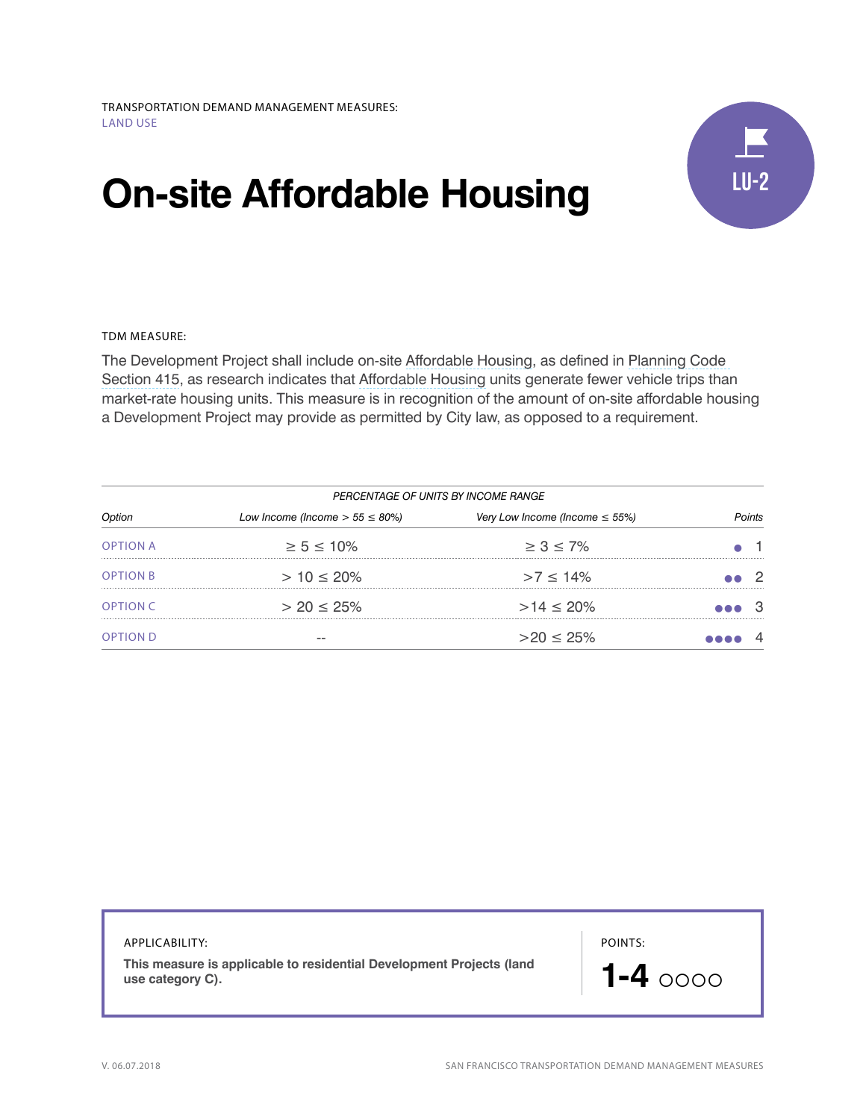# **On-site Affordable Housing**



TDM MEASURE:

The Development Project shall include on-site [Affordable Housing,](http://library.amlegal.com/nxt/gateway.dll/California/planning/article4developmentimpactfeesandprojectr?f=templates$fn=default.htm$3.0$vid=amlegal:sanfrancisco_ca$anc=JD_415.1) as defined in [Planning Code](http://library.amlegal.com/nxt/gateway.dll/California/planning/article4developmentimpactfeesandprojectr?f=templates$fn=default.htm$3.0$vid=amlegal:sanfrancisco_ca$anc=JD_415)  [Section 415,](http://library.amlegal.com/nxt/gateway.dll/California/planning/article4developmentimpactfeesandprojectr?f=templates$fn=default.htm$3.0$vid=amlegal:sanfrancisco_ca$anc=JD_415) as research indicates that [Affordable Housing](http://library.amlegal.com/nxt/gateway.dll/California/planning/article4developmentimpactfeesandprojectr?f=templates$fn=default.htm$3.0$vid=amlegal:sanfrancisco_ca$anc=JD_415.1) units generate fewer vehicle trips than market-rate housing units. This measure is in recognition of the amount of on-site affordable housing a Development Project may provide as permitted by City law, as opposed to a requirement.

|                 | PERCENTAGE OF UNITS BY INCOME RANGE   |                                     |       |        |
|-----------------|---------------------------------------|-------------------------------------|-------|--------|
| Option          | Low Income (Income $> 55 \leq 80\%$ ) | Very Low Income (Income $\leq$ 55%) |       | oints: |
| <b>OPTION A</b> | $\geq 5 \leq 10\%$                    | $\geq 3 \leq 7\%$                   |       |        |
| <b>OPTION B</b> | $> 10 \le 20\%$                       | $>7 \le 14\%$                       |       | - 2    |
| <b>OPTION C</b> | $> 20 \le 25\%$                       | $>14 \le 20\%$                      | eee 3 |        |
| <b>OPTION D</b> |                                       | $>20 \leq 25\%$                     |       |        |

| APPLICABILITY:<br>This measure is applicable to residential Development Projects (land<br>use category C). | POINTS:<br>$1-4$ 0000 |
|------------------------------------------------------------------------------------------------------------|-----------------------|
|                                                                                                            |                       |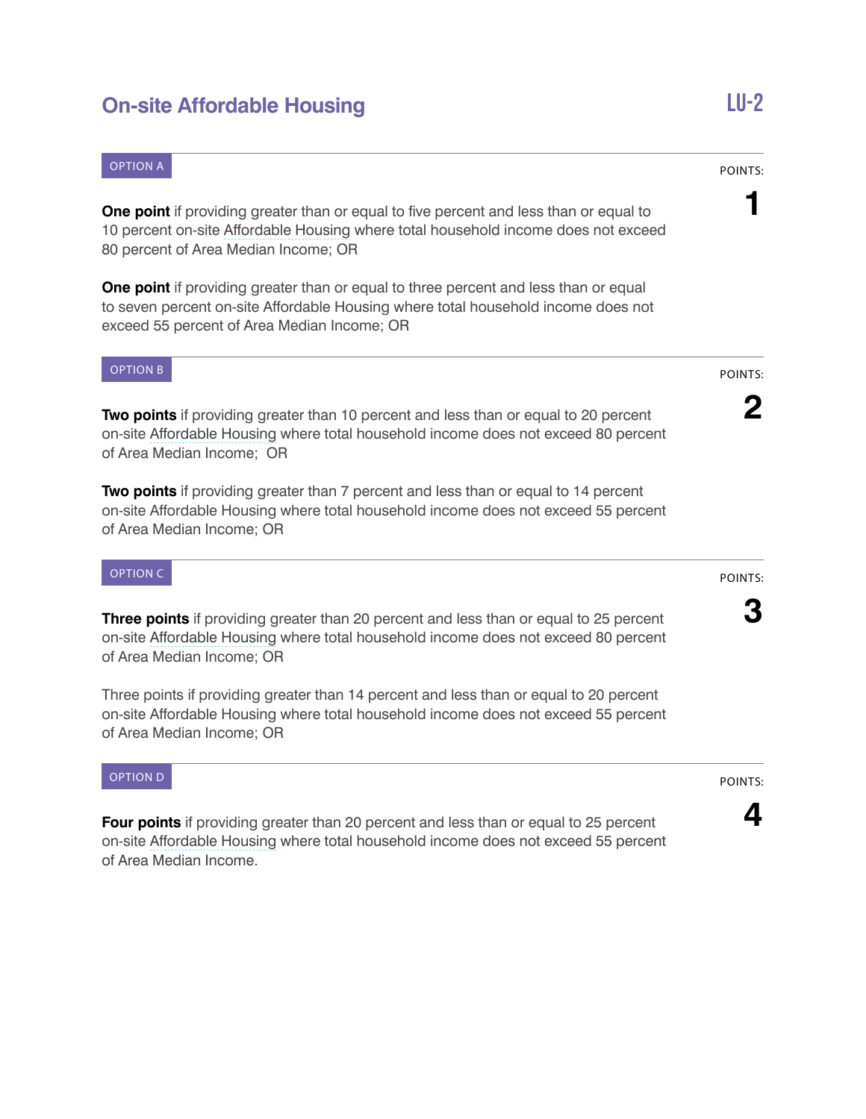# **On-site Affordable Housing LU-2**

### OPTION A

**One point** if providing greater than or equal to five percent and less than or equal to 10 percent on-site [Affordable Housing](http://library.amlegal.com/nxt/gateway.dll/California/planning/article4developmentimpactfeesandprojectr?f=templates$fn=default.htm$3.0$vid=amlegal:sanfrancisco_ca$anc=JD_415.1) where total household income does not exceed 80 percent of Area Median Income; OR

**One point** if providing greater than or equal to three percent and less than or equal to seven percent on-site Affordable Housing where total household income does not exceed 55 percent of Area Median Income; OR

### OPTION B

**Two points** if providing greater than 10 percent and less than or equal to 20 percent on-site [Affordable Housing](http://library.amlegal.com/nxt/gateway.dll/California/planning/article4developmentimpactfeesandprojectr?f=templates$fn=default.htm$3.0$vid=amlegal:sanfrancisco_ca$anc=JD_415.1) where total household income does not exceed 80 percent of Area Median Income; OR

**Two points** if providing greater than 7 percent and less than or equal to 14 percent on-site Affordable Housing where total household income does not exceed 55 percent of Area Median Income; OR

### OPTION C

**Three points** if providing greater than 20 percent and less than or equal to 25 percent on-site [Affordable Housing](http://library.amlegal.com/nxt/gateway.dll/California/planning/article4developmentimpactfeesandprojectr?f=templates$fn=default.htm$3.0$vid=amlegal:sanfrancisco_ca$anc=JD_415.1) where total household income does not exceed 80 percent of Area Median Income; OR

Three points if providing greater than 14 percent and less than or equal to 20 percent on-site Affordable Housing where total household income does not exceed 55 percent of Area Median Income; OR

### OPTION D

**Four points** if providing greater than 20 percent and less than or equal to 25 percent on-site [Affordable Housing](http://library.amlegal.com/nxt/gateway.dll/California/planning/article4developmentimpactfeesandprojectr?f=templates$fn=default.htm$3.0$vid=amlegal:sanfrancisco_ca$anc=JD_415.1) where total household income does not exceed 55 percent of Area Median Income.

POINTS:

**1**

### POINTS:

**4**

## POINTS:

**2**

### POINTS:

**3**